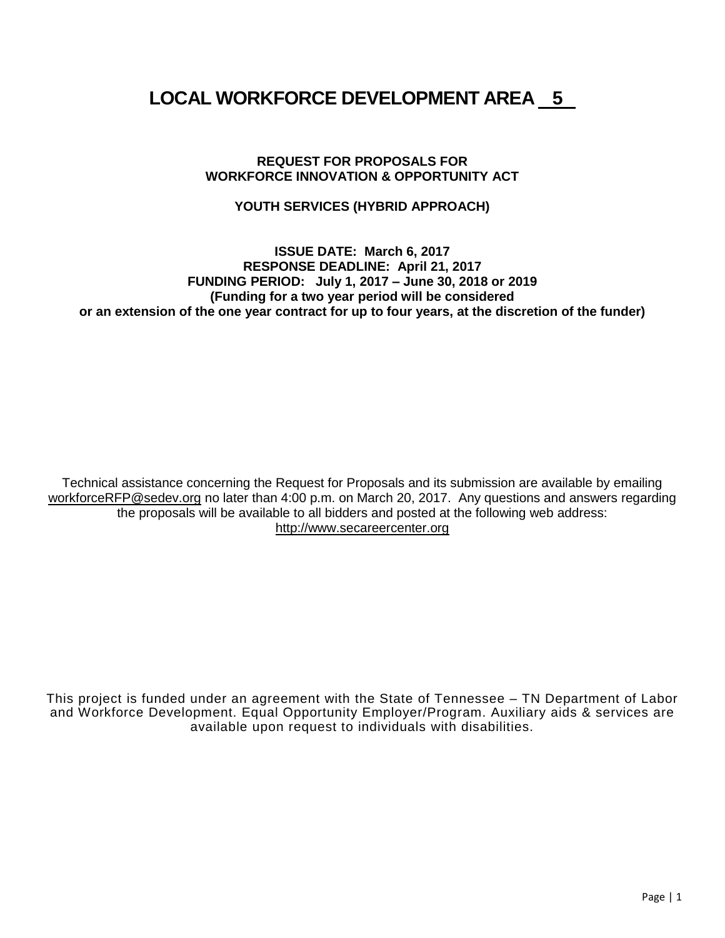# **LOCAL WORKFORCE DEVELOPMENT AREA 5**

#### **REQUEST FOR PROPOSALS FOR WORKFORCE INNOVATION & OPPORTUNITY ACT**

### **YOUTH SERVICES (HYBRID APPROACH)**

#### **ISSUE DATE: March 6, 2017 RESPONSE DEADLINE: April 21, 2017 FUNDING PERIOD: July 1, 2017 – June 30, 2018 or 2019 (Funding for a two year period will be considered** or an extension of the one year contract for up to four years, at the discretion of the funder)

Technical assistance concerning the Request for Proposals and its submission are available by emailing [workforceRFP@sedev.org](mailto:workforceRFP@sedev.org) no later than 4:00 p.m. on March 20, 2017. Any questions and answers regarding the proposals will be available to all bidders and posted at the following web address: [http://www.secareercenter.org](http://www.secareercenter.org/)

This project is funded under an agreement with the State of Tennessee – TN Department of Labor and Workforce Development. Equal Opportunity Employer/Program. Auxiliary aids & services are available upon request to individuals with disabilities.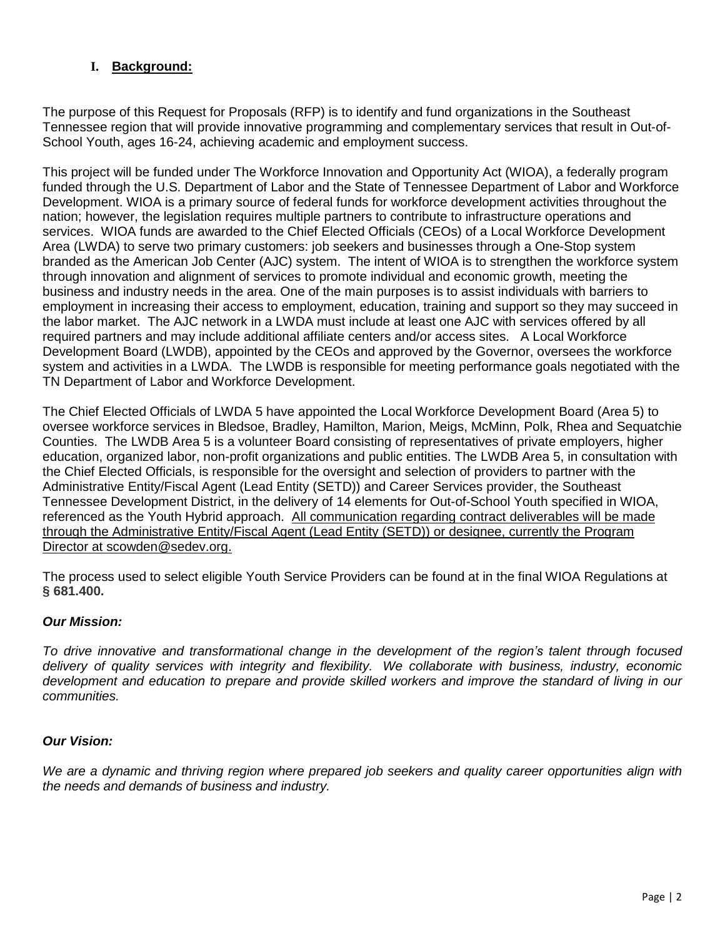# **I. Background:**

The purpose of this Request for Proposals (RFP) is to identify and fund organizations in the Southeast Tennessee region that will provide innovative programming and complementary services that result in Out-of-School Youth, ages 16-24, achieving academic and employment success.

This project will be funded under The Workforce Innovation and Opportunity Act (WIOA), a federally program funded through the U.S. Department of Labor and the State of Tennessee Department of Labor and Workforce Development. WIOA is a primary source of federal funds for workforce development activities throughout the nation; however, the legislation requires multiple partners to contribute to infrastructure operations and services. WIOA funds are awarded to the Chief Elected Officials (CEOs) of a Local Workforce Development Area (LWDA) to serve two primary customers: job seekers and businesses through a One-Stop system branded as the American Job Center (AJC) system. The intent of WIOA is to strengthen the workforce system through innovation and alignment of services to promote individual and economic growth, meeting the business and industry needs in the area. One of the main purposes is to assist individuals with barriers to employment in increasing their access to employment, education, training and support so they may succeed in the labor market. The AJC network in a LWDA must include at least one AJC with services offered by all required partners and may include additional affiliate centers and/or access sites. A Local Workforce Development Board (LWDB), appointed by the CEOs and approved by the Governor, oversees the workforce system and activities in a LWDA. The LWDB is responsible for meeting performance goals negotiated with the TN Department of Labor and Workforce Development.

The Chief Elected Officials of LWDA 5 have appointed the Local Workforce Development Board (Area 5) to oversee workforce services in Bledsoe, Bradley, Hamilton, Marion, Meigs, McMinn, Polk, Rhea and Sequatchie Counties. The LWDB Area 5 is a volunteer Board consisting of representatives of private employers, higher education, organized labor, non-profit organizations and public entities. The LWDB Area 5, in consultation with the Chief Elected Officials, is responsible for the oversight and selection of providers to partner with the Administrative Entity/Fiscal Agent (Lead Entity (SETD)) and Career Services provider, the Southeast Tennessee Development District, in the delivery of 14 elements for Out-of-School Youth specified in WIOA, referenced as the Youth Hybrid approach. All communication regarding contract deliverables will be made through the Administrative Entity/Fiscal Agent (Lead Entity (SETD)) or designee, currently the Program Director at [scowden@sedev.org.](mailto:scowden@sedev.org)

The process used to select eligible Youth Service Providers can be found at in the final WIOA Regulations at **§ 681.400.**

#### *Our Mission:*

*To drive innovative and transformational change in the development of the region's talent through focused delivery of quality services with integrity and flexibility. We collaborate with business, industry, economic* development and education to prepare and provide skilled workers and improve the standard of living in our *communities.*

#### *Our Vision:*

We are a dynamic and thriving region where prepared job seekers and quality career opportunities align with *the needs and demands of business and industry.*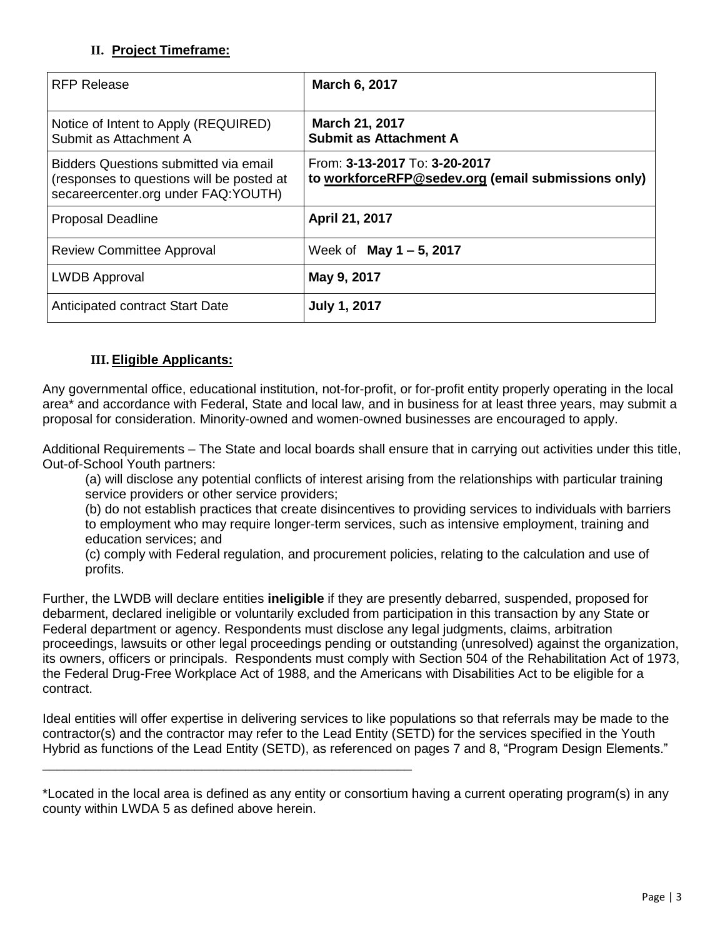# **II. Project Timeframe:**

| <b>RFP Release</b>                                                                                                        | March 6, 2017                                                                       |
|---------------------------------------------------------------------------------------------------------------------------|-------------------------------------------------------------------------------------|
| Notice of Intent to Apply (REQUIRED)<br>Submit as Attachment A                                                            | March 21, 2017<br><b>Submit as Attachment A</b>                                     |
| Bidders Questions submitted via email<br>(responses to questions will be posted at<br>secareercenter.org under FAQ:YOUTH) | From: 3-13-2017 To: 3-20-2017<br>to workforceRFP@sedev.org (email submissions only) |
| <b>Proposal Deadline</b>                                                                                                  | April 21, 2017                                                                      |
| <b>Review Committee Approval</b>                                                                                          | Week of May $1 - 5$ , 2017                                                          |
| <b>LWDB Approval</b>                                                                                                      | May 9, 2017                                                                         |
| <b>Anticipated contract Start Date</b>                                                                                    | <b>July 1, 2017</b>                                                                 |

# **III. Eligible Applicants:**

Any governmental office, educational institution, not-for-profit, or for-profit entity properly operating in the local area\* and accordance with Federal, State and local law, and in business for at least three years, may submit a proposal for consideration. Minority-owned and women-owned businesses are encouraged to apply.

Additional Requirements – The State and local boards shall ensure that in carrying out activities under this title, Out-of-School Youth partners:

(a) will disclose any potential conflicts of interest arising from the relationships with particular training service providers or other service providers;

(b) do not establish practices that create disincentives to providing services to individuals with barriers to employment who may require longer-term services, such as intensive employment, training and education services; and

(c) comply with Federal regulation, and procurement policies, relating to the calculation and use of profits.

Further, the LWDB will declare entities **ineligible** if they are presently debarred, suspended, proposed for debarment, declared ineligible or voluntarily excluded from participation in this transaction by any State or Federal department or agency. Respondents must disclose any legal judgments, claims, arbitration proceedings, lawsuits or other legal proceedings pending or outstanding (unresolved) against the organization, its owners, officers or principals. Respondents must comply with Section 504 of the Rehabilitation Act of 1973, the Federal Drug-Free Workplace Act of 1988, and the Americans with Disabilities Act to be eligible for a contract.

Ideal entities will offer expertise in delivering services to like populations so that referrals may be made to the contractor(s) and the contractor may refer to the Lead Entity (SETD) for the services specified in the Youth Hybrid as functions of the Lead Entity (SETD), as referenced on pages 7 and 8, "Program Design Elements."

\_\_\_\_\_\_\_\_\_\_\_\_\_\_\_\_\_\_\_\_\_\_\_\_\_\_\_\_\_\_\_\_\_\_\_\_\_\_\_\_\_\_\_\_\_\_\_\_\_\_\_

\*Located in the local area is defined as any entity or consortium having a current operating program(s) in any county within LWDA 5 as defined above herein.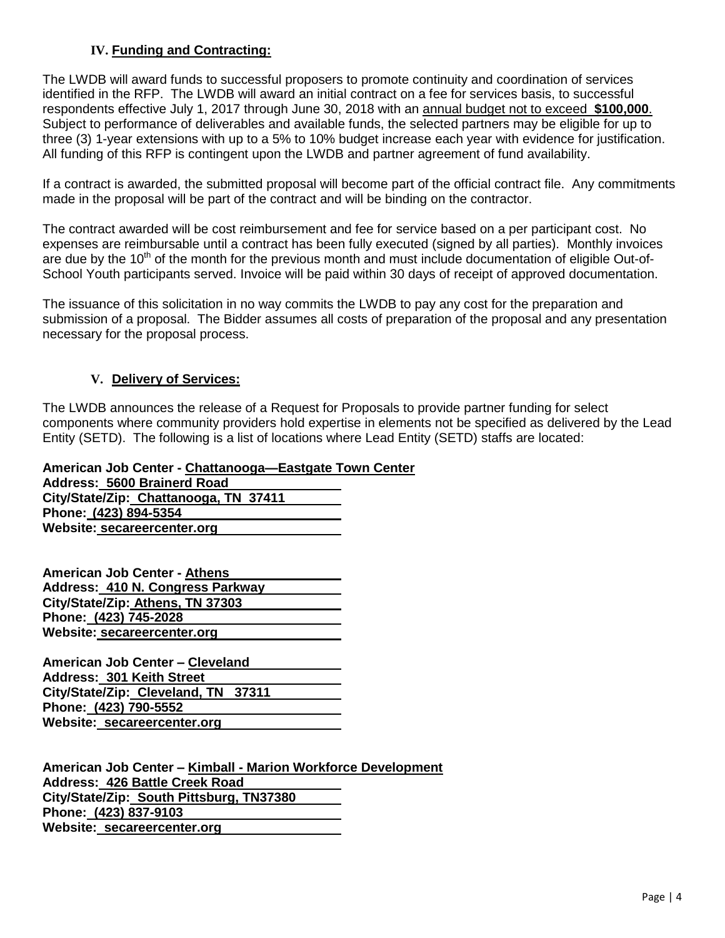# **IV. Funding and Contracting:**

The LWDB will award funds to successful proposers to promote continuity and coordination of services identified in the RFP. The LWDB will award an initial contract on a fee for services basis, to successful respondents effective July 1, 2017 through June 30, 2018 with an annual budget not to exceed **\$100,000**. Subject to performance of deliverables and available funds, the selected partners may be eligible for up to three (3) 1-year extensions with up to a 5% to 10% budget increase each year with evidence for justification. All funding of this RFP is contingent upon the LWDB and partner agreement of fund availability.

If a contract is awarded, the submitted proposal will become part of the official contract file. Any commitments made in the proposal will be part of the contract and will be binding on the contractor.

The contract awarded will be cost reimbursement and fee for service based on a per participant cost. No expenses are reimbursable until a contract has been fully executed (signed by all parties). Monthly invoices are due by the 10<sup>th</sup> of the month for the previous month and must include documentation of eligible Out-of-School Youth participants served. Invoice will be paid within 30 days of receipt of approved documentation.

The issuance of this solicitation in no way commits the LWDB to pay any cost for the preparation and submission of a proposal. The Bidder assumes all costs of preparation of the proposal and any presentation necessary for the proposal process.

# **V. Delivery of Services:**

The LWDB announces the release of a Request for Proposals to provide partner funding for select components where community providers hold expertise in elements not be specified as delivered by the Lead Entity (SETD). The following is a list of locations where Lead Entity (SETD) staffs are located:

**American Job Center - Chattanooga—Eastgate Town Center Address: 5600 Brainerd Road City/State/Zip: Chattanooga, TN 37411 Phone: (423) 894-5354 Website: secareercenter.org**

| <b>American Job Center - Athens</b> |
|-------------------------------------|
| Address: 410 N. Congress Parkway    |
| City/State/Zip: Athens, TN 37303    |
| Phone: (423) 745-2028               |
| Website: secareercenter.org         |

**American Job Center – Cleveland Address: 301 Keith Street City/State/Zip: Cleveland, TN 37311 Phone: (423) 790-5552 Website: secareercenter.org**

**American Job Center – Kimball - Marion Workforce Development Address: 426 Battle Creek Road City/State/Zip: South Pittsburg, TN37380 Phone: (423) 837-9103 Website: secareercenter.org**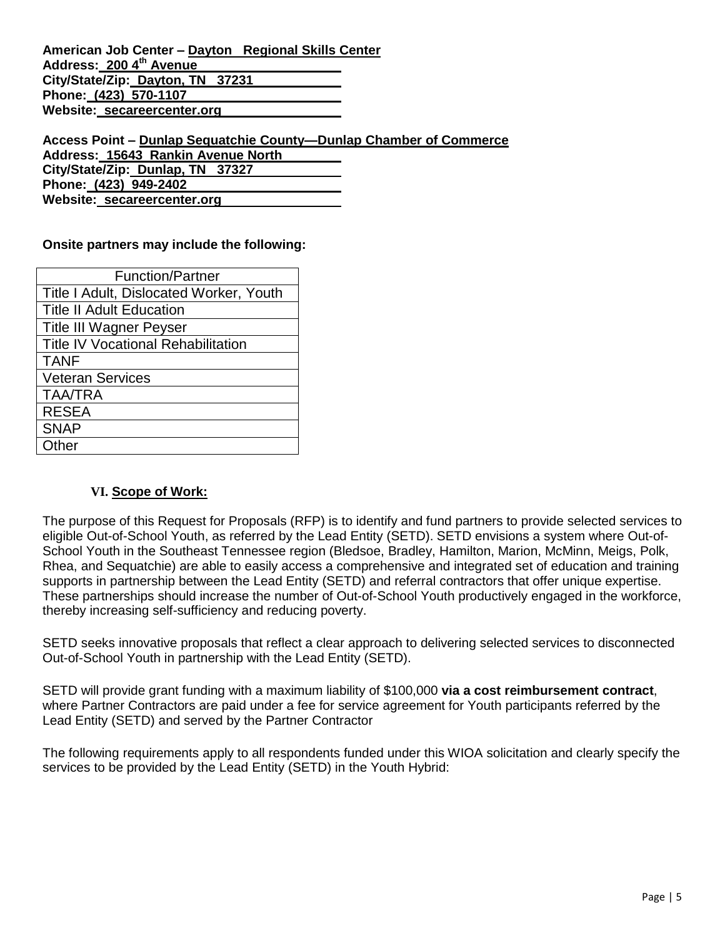**American Job Center – Dayton Regional Skills Center Address: 200 4 th Avenue City/State/Zip: Dayton, TN 37231 Phone: (423) 570-1107 Website: secareercenter.org**

**Access Point – Dunlap Sequatchie County—Dunlap Chamber of Commerce Address: 15643 Rankin Avenue North City/State/Zip: Dunlap, TN 37327 Phone: (423) 949-2402 Website: secareercenter.org**

#### **Onsite partners may include the following:**

| <b>Function/Partner</b>                   |  |  |  |  |
|-------------------------------------------|--|--|--|--|
| Title I Adult, Dislocated Worker, Youth   |  |  |  |  |
| <b>Title II Adult Education</b>           |  |  |  |  |
| <b>Title III Wagner Peyser</b>            |  |  |  |  |
| <b>Title IV Vocational Rehabilitation</b> |  |  |  |  |
| <b>TANF</b>                               |  |  |  |  |
| <b>Veteran Services</b>                   |  |  |  |  |
| <b>TAA/TRA</b>                            |  |  |  |  |
| <b>RESEA</b>                              |  |  |  |  |
| <b>SNAP</b>                               |  |  |  |  |
| Other                                     |  |  |  |  |

#### **VI. Scope of Work:**

The purpose of this Request for Proposals (RFP) is to identify and fund partners to provide selected services to eligible Out-of-School Youth, as referred by the Lead Entity (SETD). SETD envisions a system where Out-of-School Youth in the Southeast Tennessee region (Bledsoe, Bradley, Hamilton, Marion, McMinn, Meigs, Polk, Rhea, and Sequatchie) are able to easily access a comprehensive and integrated set of education and training supports in partnership between the Lead Entity (SETD) and referral contractors that offer unique expertise. These partnerships should increase the number of Out-of-School Youth productively engaged in the workforce, thereby increasing self-sufficiency and reducing poverty.

SETD seeks innovative proposals that reflect a clear approach to delivering selected services to disconnected Out-of-School Youth in partnership with the Lead Entity (SETD).

SETD will provide grant funding with a maximum liability of \$100,000 **via a cost reimbursement contract**, where Partner Contractors are paid under a fee for service agreement for Youth participants referred by the Lead Entity (SETD) and served by the Partner Contractor

The following requirements apply to all respondents funded under this WIOA solicitation and clearly specify the services to be provided by the Lead Entity (SETD) in the Youth Hybrid: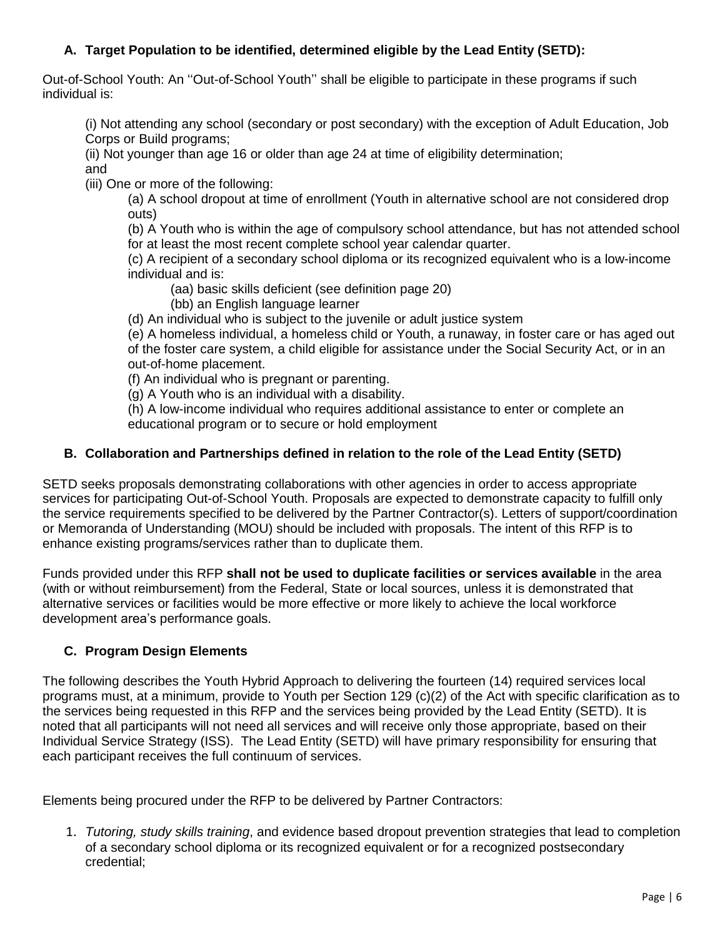# **A. Target Population to be identified, determined eligible by the Lead Entity (SETD):**

Out-of-School Youth: An ''Out-of-School Youth'' shall be eligible to participate in these programs if such individual is:

(i) Not attending any school (secondary or post secondary) with the exception of Adult Education, Job Corps or Build programs;

(ii) Not younger than age 16 or older than age 24 at time of eligibility determination;

and

(iii) One or more of the following:

(a) A school dropout at time of enrollment (Youth in alternative school are not considered drop outs)

(b) A Youth who is within the age of compulsory school attendance, but has not attended school for at least the most recent complete school year calendar quarter.

(c) A recipient of a secondary school diploma or its recognized equivalent who is a low-income individual and is:

(aa) basic skills deficient (see definition page 20)

(bb) an English language learner

(d) An individual who is subject to the juvenile or adult justice system

(e) A homeless individual, a homeless child or Youth, a runaway, in foster care or has aged out of the foster care system, a child eligible for assistance under the Social Security Act, or in an out-of-home placement.

(f) An individual who is pregnant or parenting.

(g) A Youth who is an individual with a disability.

(h) A low-income individual who requires additional assistance to enter or complete an educational program or to secure or hold employment

### **B. Collaboration and Partnerships defined in relation to the role of the Lead Entity (SETD)**

SETD seeks proposals demonstrating collaborations with other agencies in order to access appropriate services for participating Out-of-School Youth. Proposals are expected to demonstrate capacity to fulfill only the service requirements specified to be delivered by the Partner Contractor(s). Letters of support/coordination or Memoranda of Understanding (MOU) should be included with proposals. The intent of this RFP is to enhance existing programs/services rather than to duplicate them.

Funds provided under this RFP **shall not be used to duplicate facilities or services available** in the area (with or without reimbursement) from the Federal, State or local sources, unless it is demonstrated that alternative services or facilities would be more effective or more likely to achieve the local workforce development area's performance goals.

#### **C. Program Design Elements**

The following describes the Youth Hybrid Approach to delivering the fourteen (14) required services local programs must, at a minimum, provide to Youth per Section 129 (c)(2) of the Act with specific clarification as to the services being requested in this RFP and the services being provided by the Lead Entity (SETD). It is noted that all participants will not need all services and will receive only those appropriate, based on their Individual Service Strategy (ISS). The Lead Entity (SETD) will have primary responsibility for ensuring that each participant receives the full continuum of services.

Elements being procured under the RFP to be delivered by Partner Contractors:

1. *Tutoring, study skills training*, and evidence based dropout prevention strategies that lead to completion of a secondary school diploma or its recognized equivalent or for a recognized postsecondary credential;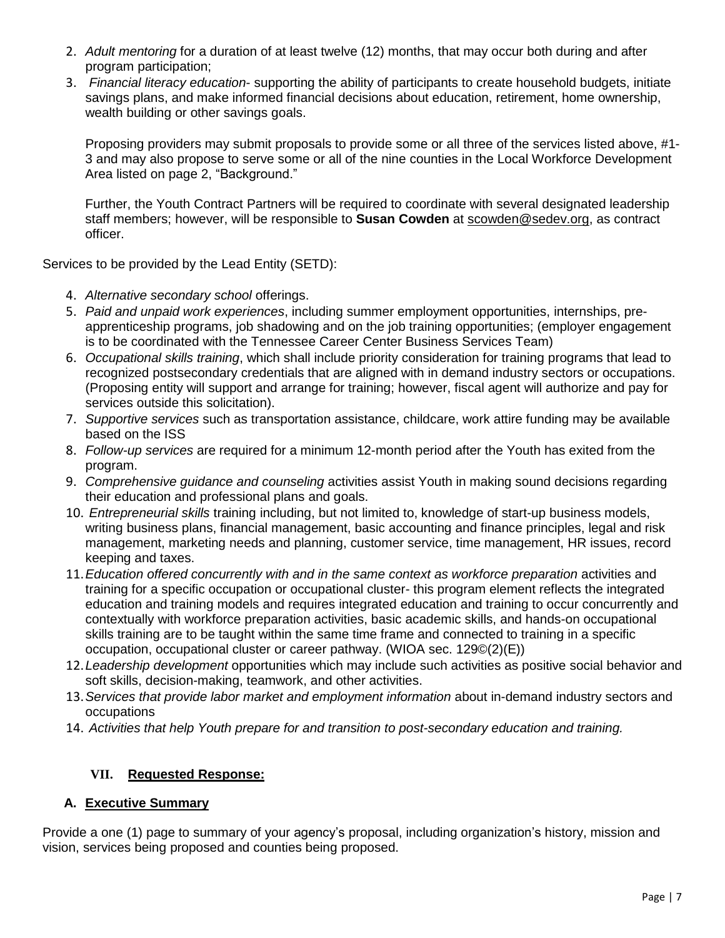- 2. *Adult mentoring* for a duration of at least twelve (12) months, that may occur both during and after program participation;
- 3. *Financial literacy education* supporting the ability of participants to create household budgets, initiate savings plans, and make informed financial decisions about education, retirement, home ownership, wealth building or other savings goals.

Proposing providers may submit proposals to provide some or all three of the services listed above, #1- 3 and may also propose to serve some or all of the nine counties in the Local Workforce Development Area listed on page 2, "Background."

Further, the Youth Contract Partners will be required to coordinate with several designated leadership staff members; however, will be responsible to **Susan Cowden** at [scowden@sedev.org,](mailto:scowden@sedev.org) as contract officer.

Services to be provided by the Lead Entity (SETD):

- 4. *Alternative secondary school* offerings.
- 5. *Paid and unpaid work experiences*, including summer employment opportunities, internships, preapprenticeship programs, job shadowing and on the job training opportunities; (employer engagement is to be coordinated with the Tennessee Career Center Business Services Team)
- 6. *Occupational skills training*, which shall include priority consideration for training programs that lead to recognized postsecondary credentials that are aligned with in demand industry sectors or occupations. (Proposing entity will support and arrange for training; however, fiscal agent will authorize and pay for services outside this solicitation).
- 7. *Supportive services* such as transportation assistance, childcare, work attire funding may be available based on the ISS
- 8. *Follow-up services* are required for a minimum 12-month period after the Youth has exited from the program.
- 9. *Comprehensive guidance and counseling* activities assist Youth in making sound decisions regarding their education and professional plans and goals.
- 10. *Entrepreneurial skills* training including, but not limited to, knowledge of start-up business models, writing business plans, financial management, basic accounting and finance principles, legal and risk management, marketing needs and planning, customer service, time management, HR issues, record keeping and taxes.
- 11.*Education offered concurrently with and in the same context as workforce preparation* activities and training for a specific occupation or occupational cluster- this program element reflects the integrated education and training models and requires integrated education and training to occur concurrently and contextually with workforce preparation activities, basic academic skills, and hands-on occupational skills training are to be taught within the same time frame and connected to training in a specific occupation, occupational cluster or career pathway. (WIOA sec. 129©(2)(E))
- 12.*Leadership development* opportunities which may include such activities as positive social behavior and soft skills, decision-making, teamwork, and other activities.
- 13.*Services that provide labor market and employment information* about in-demand industry sectors and occupations
- 14. *Activities that help Youth prepare for and transition to post-secondary education and training.*

# **VII. Requested Response:**

# **A. Executive Summary**

Provide a one (1) page to summary of your agency's proposal, including organization's history, mission and vision, services being proposed and counties being proposed.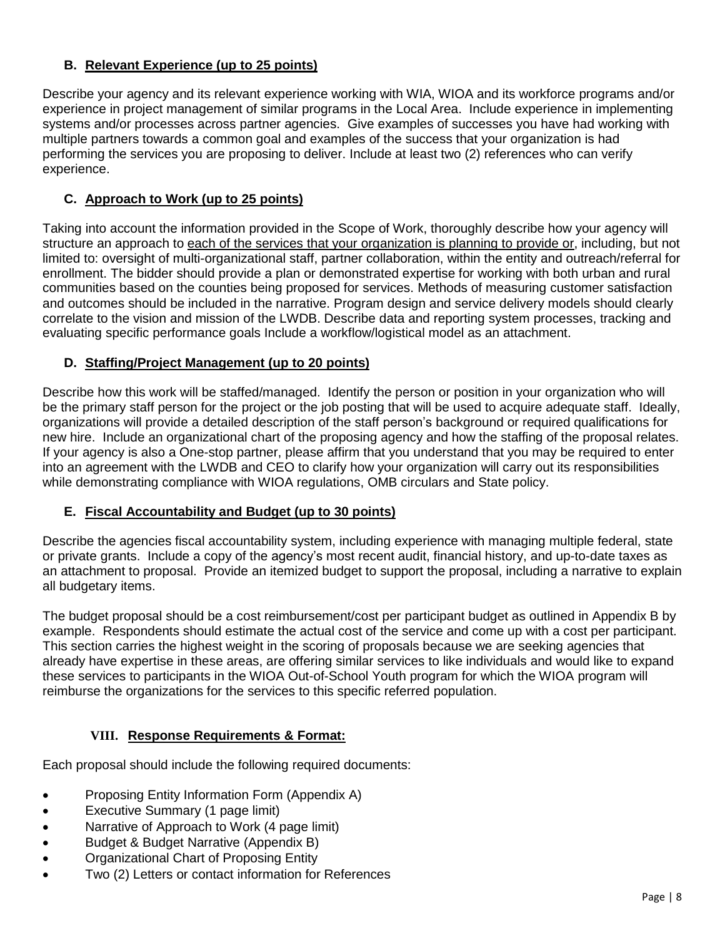# **B. Relevant Experience (up to 25 points)**

Describe your agency and its relevant experience working with WIA, WIOA and its workforce programs and/or experience in project management of similar programs in the Local Area. Include experience in implementing systems and/or processes across partner agencies. Give examples of successes you have had working with multiple partners towards a common goal and examples of the success that your organization is had performing the services you are proposing to deliver. Include at least two (2) references who can verify experience.

# **C. Approach to Work (up to 25 points)**

Taking into account the information provided in the Scope of Work, thoroughly describe how your agency will structure an approach to each of the services that your organization is planning to provide or, including, but not limited to: oversight of multi-organizational staff, partner collaboration, within the entity and outreach/referral for enrollment. The bidder should provide a plan or demonstrated expertise for working with both urban and rural communities based on the counties being proposed for services. Methods of measuring customer satisfaction and outcomes should be included in the narrative. Program design and service delivery models should clearly correlate to the vision and mission of the LWDB. Describe data and reporting system processes, tracking and evaluating specific performance goals Include a workflow/logistical model as an attachment.

# **D. Staffing/Project Management (up to 20 points)**

Describe how this work will be staffed/managed. Identify the person or position in your organization who will be the primary staff person for the project or the job posting that will be used to acquire adequate staff. Ideally, organizations will provide a detailed description of the staff person's background or required qualifications for new hire. Include an organizational chart of the proposing agency and how the staffing of the proposal relates. If your agency is also a One-stop partner, please affirm that you understand that you may be required to enter into an agreement with the LWDB and CEO to clarify how your organization will carry out its responsibilities while demonstrating compliance with WIOA regulations, OMB circulars and State policy.

# **E. Fiscal Accountability and Budget (up to 30 points)**

Describe the agencies fiscal accountability system, including experience with managing multiple federal, state or private grants. Include a copy of the agency's most recent audit, financial history, and up-to-date taxes as an attachment to proposal. Provide an itemized budget to support the proposal, including a narrative to explain all budgetary items.

The budget proposal should be a cost reimbursement/cost per participant budget as outlined in Appendix B by example. Respondents should estimate the actual cost of the service and come up with a cost per participant. This section carries the highest weight in the scoring of proposals because we are seeking agencies that already have expertise in these areas, are offering similar services to like individuals and would like to expand these services to participants in the WIOA Out-of-School Youth program for which the WIOA program will reimburse the organizations for the services to this specific referred population.

# **VIII. Response Requirements & Format:**

Each proposal should include the following required documents:

- Proposing Entity Information Form (Appendix A)
- Executive Summary (1 page limit)
- Narrative of Approach to Work (4 page limit)
- Budget & Budget Narrative (Appendix B)
- Organizational Chart of Proposing Entity
- Two (2) Letters or contact information for References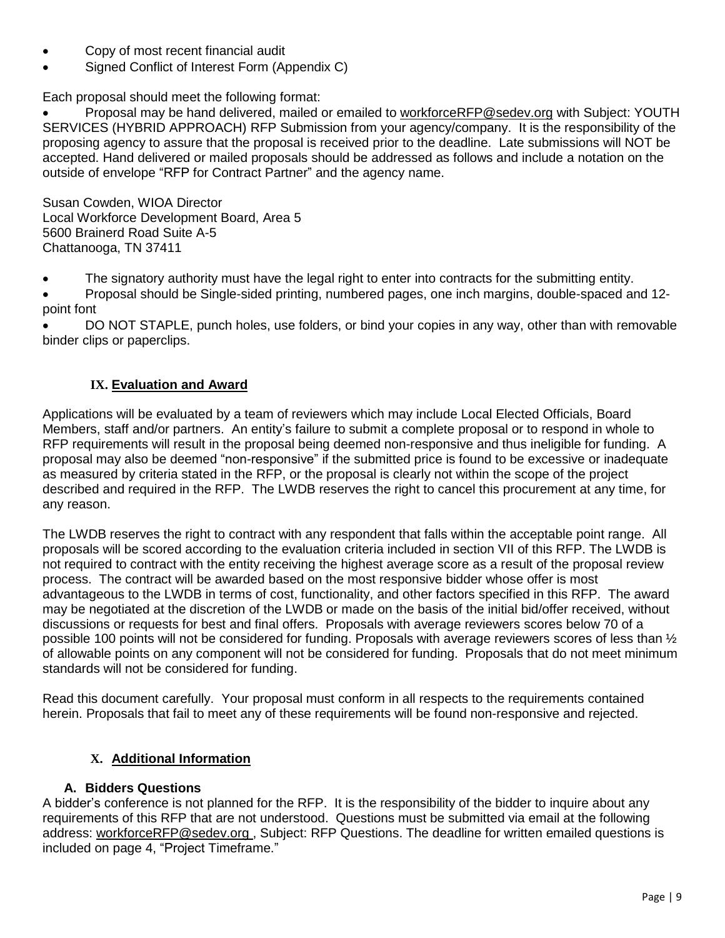- Copy of most recent financial audit
- Signed Conflict of Interest Form (Appendix C)

Each proposal should meet the following format:

Proposal may be hand delivered, mailed or emailed to [workforceRFP@sedev.org](mailto:scowden@sedev.org) with Subject: YOUTH SERVICES (HYBRID APPROACH) RFP Submission from your agency/company. It is the responsibility of the proposing agency to assure that the proposal is received prior to the deadline. Late submissions will NOT be accepted. Hand delivered or mailed proposals should be addressed as follows and include a notation on the outside of envelope "RFP for Contract Partner" and the agency name.

Susan Cowden, WIOA Director Local Workforce Development Board, Area 5 5600 Brainerd Road Suite A-5 Chattanooga, TN 37411

• The signatory authority must have the legal right to enter into contracts for the submitting entity.

 Proposal should be Single-sided printing, numbered pages, one inch margins, double-spaced and 12 point font

 DO NOT STAPLE, punch holes, use folders, or bind your copies in any way, other than with removable binder clips or paperclips.

# **IX. Evaluation and Award**

Applications will be evaluated by a team of reviewers which may include Local Elected Officials, Board Members, staff and/or partners. An entity's failure to submit a complete proposal or to respond in whole to RFP requirements will result in the proposal being deemed non-responsive and thus ineligible for funding. A proposal may also be deemed "non-responsive" if the submitted price is found to be excessive or inadequate as measured by criteria stated in the RFP, or the proposal is clearly not within the scope of the project described and required in the RFP. The LWDB reserves the right to cancel this procurement at any time, for any reason.

The LWDB reserves the right to contract with any respondent that falls within the acceptable point range. All proposals will be scored according to the evaluation criteria included in section VII of this RFP. The LWDB is not required to contract with the entity receiving the highest average score as a result of the proposal review process. The contract will be awarded based on the most responsive bidder whose offer is most advantageous to the LWDB in terms of cost, functionality, and other factors specified in this RFP. The award may be negotiated at the discretion of the LWDB or made on the basis of the initial bid/offer received, without discussions or requests for best and final offers. Proposals with average reviewers scores below 70 of a possible 100 points will not be considered for funding. Proposals with average reviewers scores of less than ½ of allowable points on any component will not be considered for funding. Proposals that do not meet minimum standards will not be considered for funding.

Read this document carefully. Your proposal must conform in all respects to the requirements contained herein. Proposals that fail to meet any of these requirements will be found non-responsive and rejected.

# **X. Additional Information**

#### **A. Bidders Questions**

A bidder's conference is not planned for the RFP. It is the responsibility of the bidder to inquire about any requirements of this RFP that are not understood. Questions must be submitted via email at the following address: workforceRFP@sedev.org, Subject: RFP Questions. The deadline for written emailed questions is included on page 4, "Project Timeframe."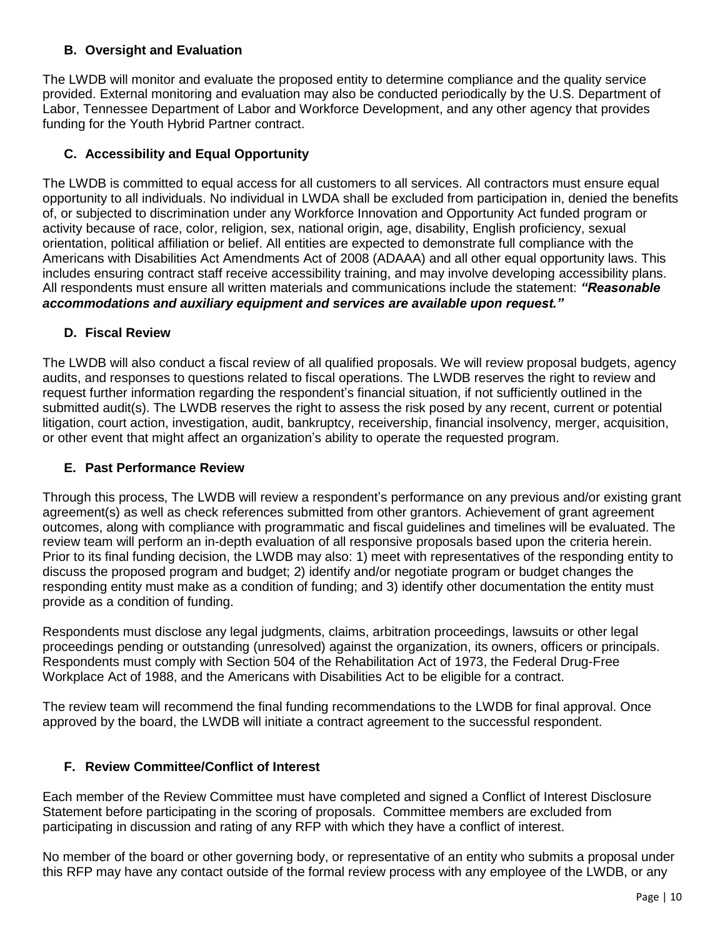# **B. Oversight and Evaluation**

The LWDB will monitor and evaluate the proposed entity to determine compliance and the quality service provided. External monitoring and evaluation may also be conducted periodically by the U.S. Department of Labor, Tennessee Department of Labor and Workforce Development, and any other agency that provides funding for the Youth Hybrid Partner contract.

# **C. Accessibility and Equal Opportunity**

The LWDB is committed to equal access for all customers to all services. All contractors must ensure equal opportunity to all individuals. No individual in LWDA shall be excluded from participation in, denied the benefits of, or subjected to discrimination under any Workforce Innovation and Opportunity Act funded program or activity because of race, color, religion, sex, national origin, age, disability, English proficiency, sexual orientation, political affiliation or belief. All entities are expected to demonstrate full compliance with the Americans with Disabilities Act Amendments Act of 2008 (ADAAA) and all other equal opportunity laws. This includes ensuring contract staff receive accessibility training, and may involve developing accessibility plans. All respondents must ensure all written materials and communications include the statement: *"Reasonable accommodations and auxiliary equipment and services are available upon request."*

### **D. Fiscal Review**

The LWDB will also conduct a fiscal review of all qualified proposals. We will review proposal budgets, agency audits, and responses to questions related to fiscal operations. The LWDB reserves the right to review and request further information regarding the respondent's financial situation, if not sufficiently outlined in the submitted audit(s). The LWDB reserves the right to assess the risk posed by any recent, current or potential litigation, court action, investigation, audit, bankruptcy, receivership, financial insolvency, merger, acquisition, or other event that might affect an organization's ability to operate the requested program.

# **E. Past Performance Review**

Through this process, The LWDB will review a respondent's performance on any previous and/or existing grant agreement(s) as well as check references submitted from other grantors. Achievement of grant agreement outcomes, along with compliance with programmatic and fiscal guidelines and timelines will be evaluated. The review team will perform an in-depth evaluation of all responsive proposals based upon the criteria herein. Prior to its final funding decision, the LWDB may also: 1) meet with representatives of the responding entity to discuss the proposed program and budget; 2) identify and/or negotiate program or budget changes the responding entity must make as a condition of funding; and 3) identify other documentation the entity must provide as a condition of funding.

Respondents must disclose any legal judgments, claims, arbitration proceedings, lawsuits or other legal proceedings pending or outstanding (unresolved) against the organization, its owners, officers or principals. Respondents must comply with Section 504 of the Rehabilitation Act of 1973, the Federal Drug-Free Workplace Act of 1988, and the Americans with Disabilities Act to be eligible for a contract.

The review team will recommend the final funding recommendations to the LWDB for final approval. Once approved by the board, the LWDB will initiate a contract agreement to the successful respondent.

# **F. Review Committee/Conflict of Interest**

Each member of the Review Committee must have completed and signed a Conflict of Interest Disclosure Statement before participating in the scoring of proposals. Committee members are excluded from participating in discussion and rating of any RFP with which they have a conflict of interest.

No member of the board or other governing body, or representative of an entity who submits a proposal under this RFP may have any contact outside of the formal review process with any employee of the LWDB, or any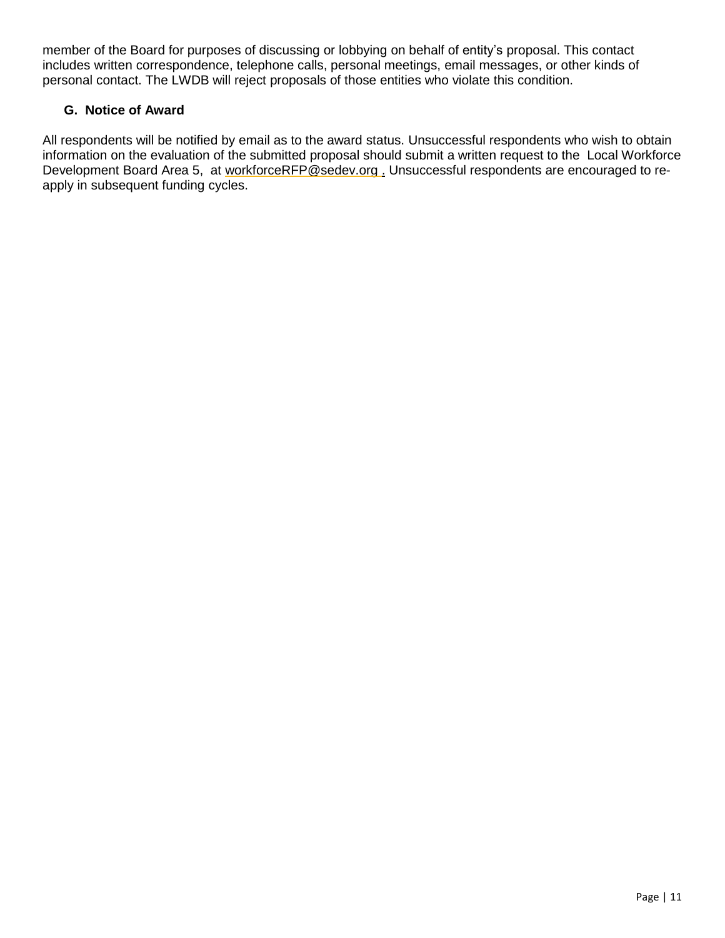member of the Board for purposes of discussing or lobbying on behalf of entity's proposal. This contact includes written correspondence, telephone calls, personal meetings, email messages, or other kinds of personal contact. The LWDB will reject proposals of those entities who violate this condition.

### **G. Notice of Award**

All respondents will be notified by email as to the award status. Unsuccessful respondents who wish to obtain information on the evaluation of the submitted proposal should submit a written request to the Local Workforce Development Board Area 5, at [workforceRFP@sedev.org](mailto:scowden@sedev.org) . Unsuccessful respondents are encouraged to reapply in subsequent funding cycles.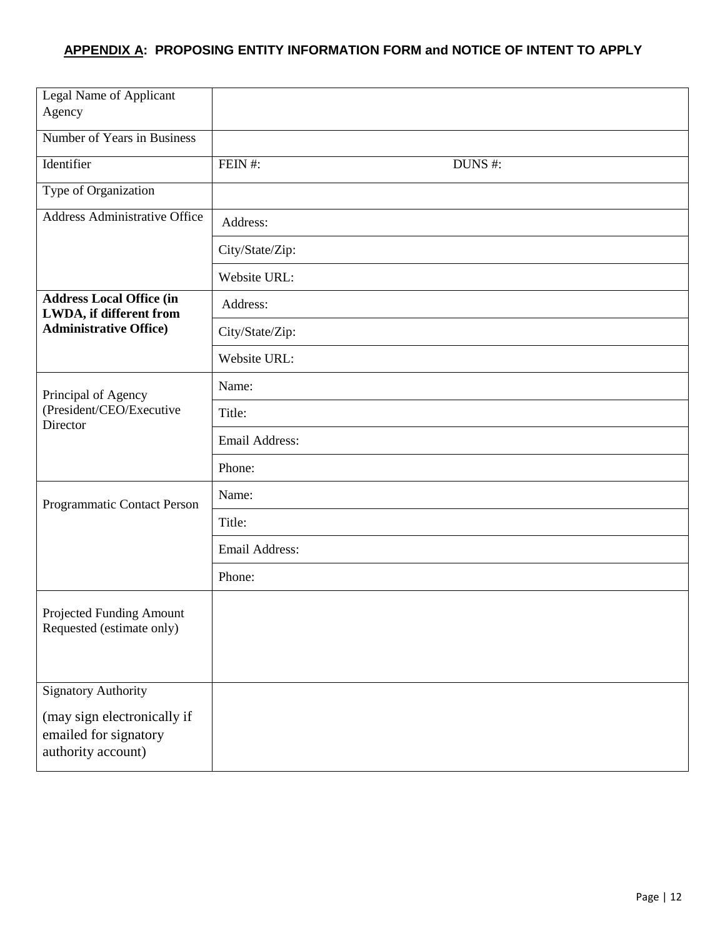# **APPENDIX A: PROPOSING ENTITY INFORMATION FORM and NOTICE OF INTENT TO APPLY**

| Legal Name of Applicant<br>Agency                                                                        |                 |         |
|----------------------------------------------------------------------------------------------------------|-----------------|---------|
| Number of Years in Business                                                                              |                 |         |
| Identifier                                                                                               | FEIN#:          | DUNS #: |
| Type of Organization                                                                                     |                 |         |
| <b>Address Administrative Office</b>                                                                     | Address:        |         |
|                                                                                                          | City/State/Zip: |         |
|                                                                                                          | Website URL:    |         |
| <b>Address Local Office (in</b><br>LWDA, if different from<br><b>Administrative Office)</b>              | Address:        |         |
|                                                                                                          | City/State/Zip: |         |
|                                                                                                          | Website URL:    |         |
| Principal of Agency                                                                                      | Name:           |         |
| (President/CEO/Executive<br>Director                                                                     | Title:          |         |
|                                                                                                          | Email Address:  |         |
|                                                                                                          | Phone:          |         |
| Programmatic Contact Person                                                                              | Name:           |         |
|                                                                                                          | Title:          |         |
|                                                                                                          | Email Address:  |         |
|                                                                                                          | Phone:          |         |
| Projected Funding Amount<br>Requested (estimate only)                                                    |                 |         |
| <b>Signatory Authority</b><br>(may sign electronically if<br>emailed for signatory<br>authority account) |                 |         |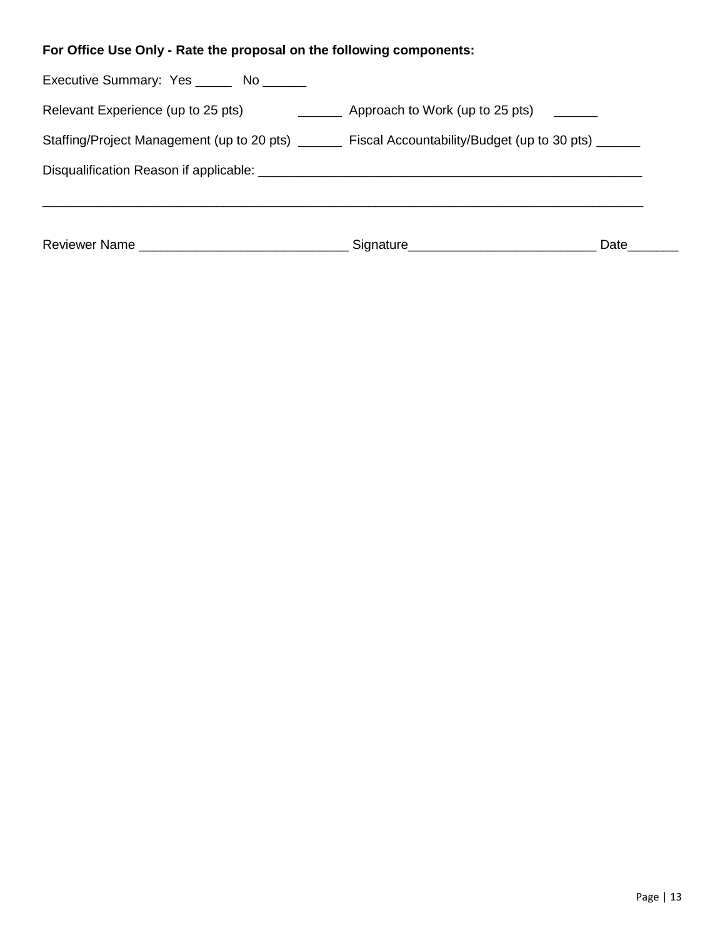# **For Office Use Only - Rate the proposal on the following components:**

|                                                                                                       | Signature__________________________ | Date |
|-------------------------------------------------------------------------------------------------------|-------------------------------------|------|
|                                                                                                       |                                     |      |
| Staffing/Project Management (up to 20 pts) _______ Fiscal Accountability/Budget (up to 30 pts) ______ |                                     |      |
| Relevant Experience (up to 25 pts)                                                                    | Approach to Work (up to 25 pts)     |      |
| Executive Summary: Yes ______ No ______                                                               |                                     |      |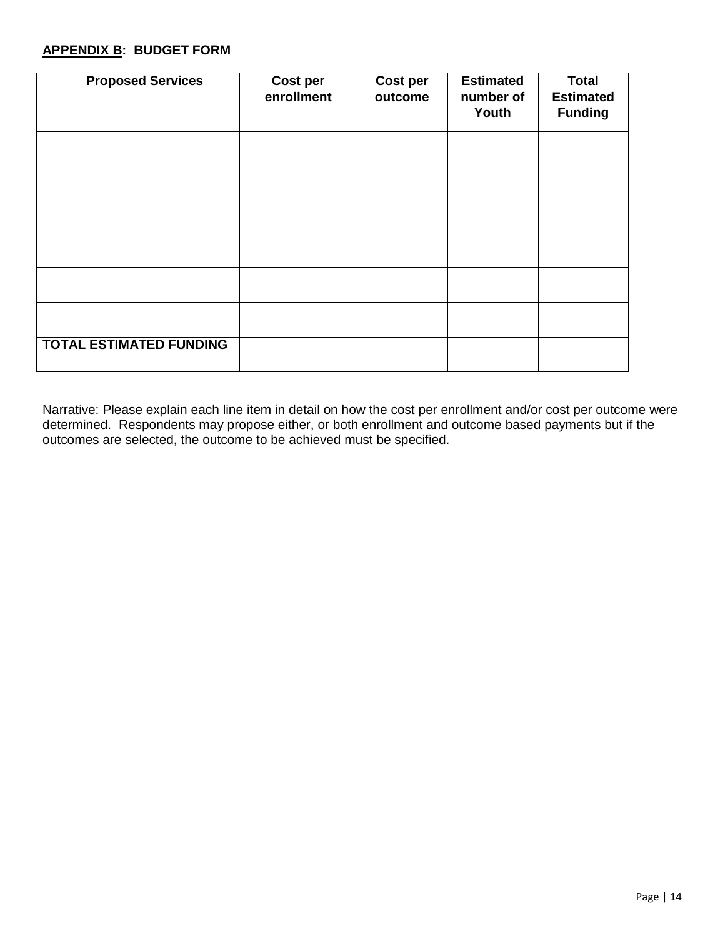# **APPENDIX B: BUDGET FORM**

| <b>Proposed Services</b>       | Cost per<br>enrollment | Cost per<br>outcome | <b>Estimated</b><br>number of<br>Youth | <b>Total</b><br><b>Estimated</b><br><b>Funding</b> |
|--------------------------------|------------------------|---------------------|----------------------------------------|----------------------------------------------------|
|                                |                        |                     |                                        |                                                    |
|                                |                        |                     |                                        |                                                    |
|                                |                        |                     |                                        |                                                    |
|                                |                        |                     |                                        |                                                    |
|                                |                        |                     |                                        |                                                    |
|                                |                        |                     |                                        |                                                    |
| <b>TOTAL ESTIMATED FUNDING</b> |                        |                     |                                        |                                                    |

Narrative: Please explain each line item in detail on how the cost per enrollment and/or cost per outcome were determined. Respondents may propose either, or both enrollment and outcome based payments but if the outcomes are selected, the outcome to be achieved must be specified.